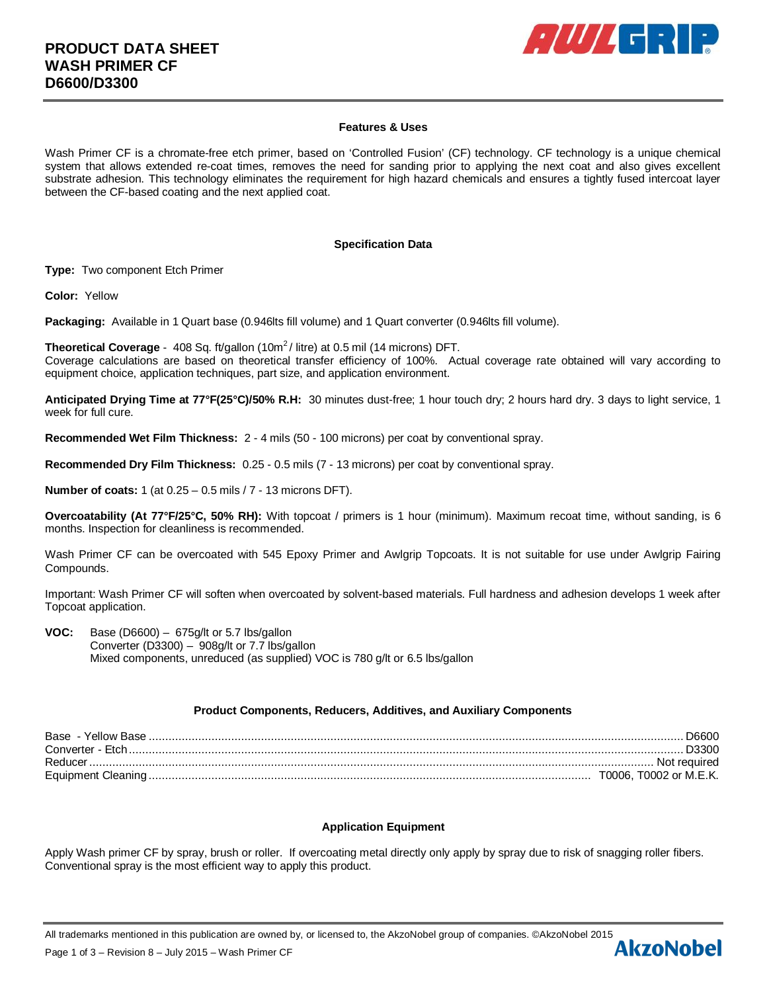

## **Features & Uses**

Wash Primer CF is a chromate-free etch primer, based on 'Controlled Fusion' (CF) technology. CF technology is a unique chemical system that allows extended re-coat times, removes the need for sanding prior to applying the next coat and also gives excellent substrate adhesion. This technology eliminates the requirement for high hazard chemicals and ensures a tightly fused intercoat layer between the CF-based coating and the next applied coat.

### **Specification Data**

**Type:** Two component Etch Primer

**Color:** Yellow

**Packaging:** Available in 1 Quart base (0.946lts fill volume) and 1 Quart converter (0.946lts fill volume).

**Theoretical Coverage** - 408 Sq. ft/gallon (10m<sup>2</sup>/ litre) at 0.5 mil (14 microns) DFT. Coverage calculations are based on theoretical transfer efficiency of 100%. Actual coverage rate obtained will vary according to equipment choice, application techniques, part size, and application environment.

**Anticipated Drying Time at 77°F(25°C)/50% R.H:** 30 minutes dust-free; 1 hour touch dry; 2 hours hard dry. 3 days to light service, 1 week for full cure.

**Recommended Wet Film Thickness:** 2 - 4 mils (50 - 100 microns) per coat by conventional spray.

**Recommended Dry Film Thickness:** 0.25 - 0.5 mils (7 - 13 microns) per coat by conventional spray.

**Number of coats:** 1 (at 0.25 – 0.5 mils / 7 - 13 microns DFT).

**Overcoatability (At 77°F/25°C, 50% RH):** With topcoat / primers is 1 hour (minimum). Maximum recoat time, without sanding, is 6 months. Inspection for cleanliness is recommended.

Wash Primer CF can be overcoated with 545 Epoxy Primer and Awlgrip Topcoats. It is not suitable for use under Awlgrip Fairing Compounds.

Important: Wash Primer CF will soften when overcoated by solvent-based materials. Full hardness and adhesion develops 1 week after Topcoat application.

**VOC:** Base (D6600) – 675g/lt or 5.7 lbs/gallon Converter (D3300) – 908g/lt or 7.7 lbs/gallon Mixed components, unreduced (as supplied) VOC is 780 g/lt or 6.5 lbs/gallon

## **Product Components, Reducers, Additives, and Auxiliary Components**

| Base - Yellow Base | 0086D                  |
|--------------------|------------------------|
| Converter - Etch.  | . 13300 .              |
| Reducer            | Not reauired           |
|                    | T0006. T0002 or M.E.K. |

## **Application Equipment**

Apply Wash primer CF by spray, brush or roller. If overcoating metal directly only apply by spray due to risk of snagging roller fibers. Conventional spray is the most efficient way to apply this product.

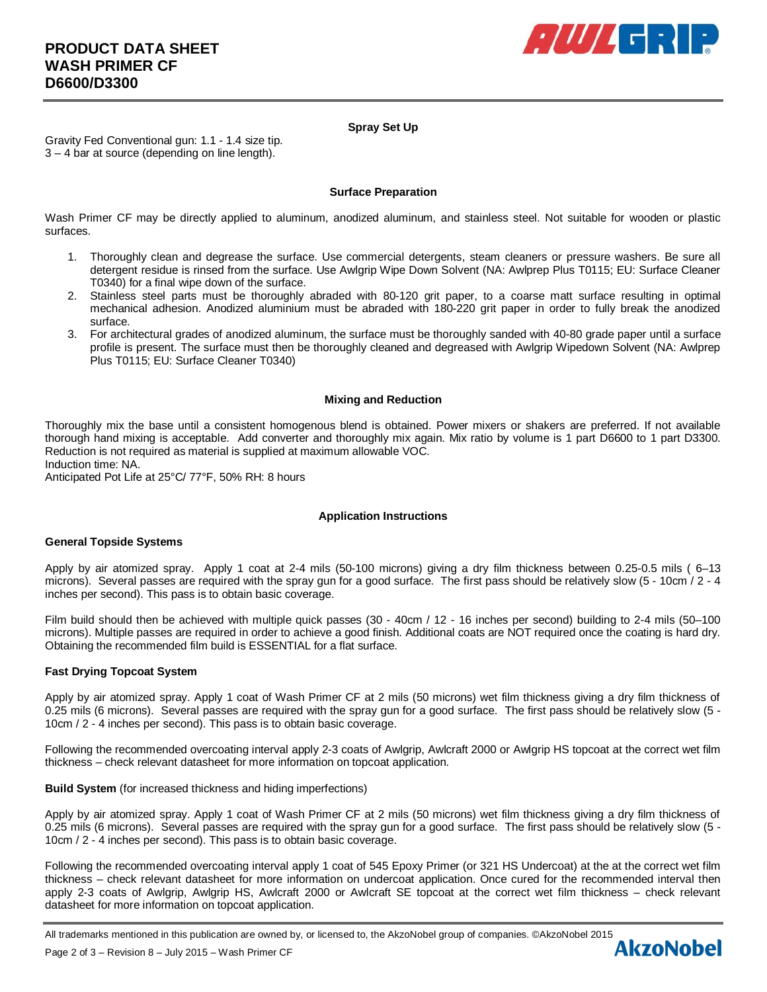

# **Spray Set Up**

Gravity Fed Conventional gun: 1.1 - 1.4 size tip. 3 – 4 bar at source (depending on line length).

## **Surface Preparation**

Wash Primer CF may be directly applied to aluminum, anodized aluminum, and stainless steel. Not suitable for wooden or plastic surfaces.

- 1. Thoroughly clean and degrease the surface. Use commercial detergents, steam cleaners or pressure washers. Be sure all detergent residue is rinsed from the surface. Use Awlgrip Wipe Down Solvent (NA: Awlprep Plus T0115; EU: Surface Cleaner T0340) for a final wipe down of the surface.
- 2. Stainless steel parts must be thoroughly abraded with 80-120 grit paper, to a coarse matt surface resulting in optimal mechanical adhesion. Anodized aluminium must be abraded with 180-220 grit paper in order to fully break the anodized surface.
- 3. For architectural grades of anodized aluminum, the surface must be thoroughly sanded with 40-80 grade paper until a surface profile is present. The surface must then be thoroughly cleaned and degreased with Awlgrip Wipedown Solvent (NA: Awlprep Plus T0115; EU: Surface Cleaner T0340)

## **Mixing and Reduction**

Thoroughly mix the base until a consistent homogenous blend is obtained. Power mixers or shakers are preferred. If not available thorough hand mixing is acceptable. Add converter and thoroughly mix again. Mix ratio by volume is 1 part D6600 to 1 part D3300. Reduction is not required as material is supplied at maximum allowable VOC.

Induction time: NA.

Anticipated Pot Life at 25°C/ 77°F, 50% RH: 8 hours

## **Application Instructions**

## **General Topside Systems**

Apply by air atomized spray. Apply 1 coat at 2-4 mils (50-100 microns) giving a dry film thickness between 0.25-0.5 mils ( 6–13 microns). Several passes are required with the spray gun for a good surface. The first pass should be relatively slow (5 - 10cm / 2 - 4 inches per second). This pass is to obtain basic coverage.

Film build should then be achieved with multiple quick passes (30 - 40cm / 12 - 16 inches per second) building to 2-4 mils (50–100 microns). Multiple passes are required in order to achieve a good finish. Additional coats are NOT required once the coating is hard dry. Obtaining the recommended film build is ESSENTIAL for a flat surface.

## **Fast Drying Topcoat System**

Apply by air atomized spray. Apply 1 coat of Wash Primer CF at 2 mils (50 microns) wet film thickness giving a dry film thickness of 0.25 mils (6 microns). Several passes are required with the spray gun for a good surface. The first pass should be relatively slow (5 - 10cm / 2 - 4 inches per second). This pass is to obtain basic coverage.

Following the recommended overcoating interval apply 2-3 coats of Awlgrip, Awlcraft 2000 or Awlgrip HS topcoat at the correct wet film thickness – check relevant datasheet for more information on topcoat application.

## **Build System** (for increased thickness and hiding imperfections)

Apply by air atomized spray. Apply 1 coat of Wash Primer CF at 2 mils (50 microns) wet film thickness giving a dry film thickness of 0.25 mils (6 microns). Several passes are required with the spray gun for a good surface. The first pass should be relatively slow (5 - 10cm / 2 - 4 inches per second). This pass is to obtain basic coverage.

Following the recommended overcoating interval apply 1 coat of 545 Epoxy Primer (or 321 HS Undercoat) at the at the correct wet film thickness – check relevant datasheet for more information on undercoat application. Once cured for the recommended interval then apply 2-3 coats of Awlgrip, Awlgrip HS, Awlcraft 2000 or Awlcraft SE topcoat at the correct wet film thickness – check relevant datasheet for more information on topcoat application.

All trademarks mentioned in this publication are owned by, or licensed to, the AkzoNobel group of companies. ©AkzoNobel 2015<br>Page 2 of 3 – Revision 8 – July 2015 – Wash Primer CE